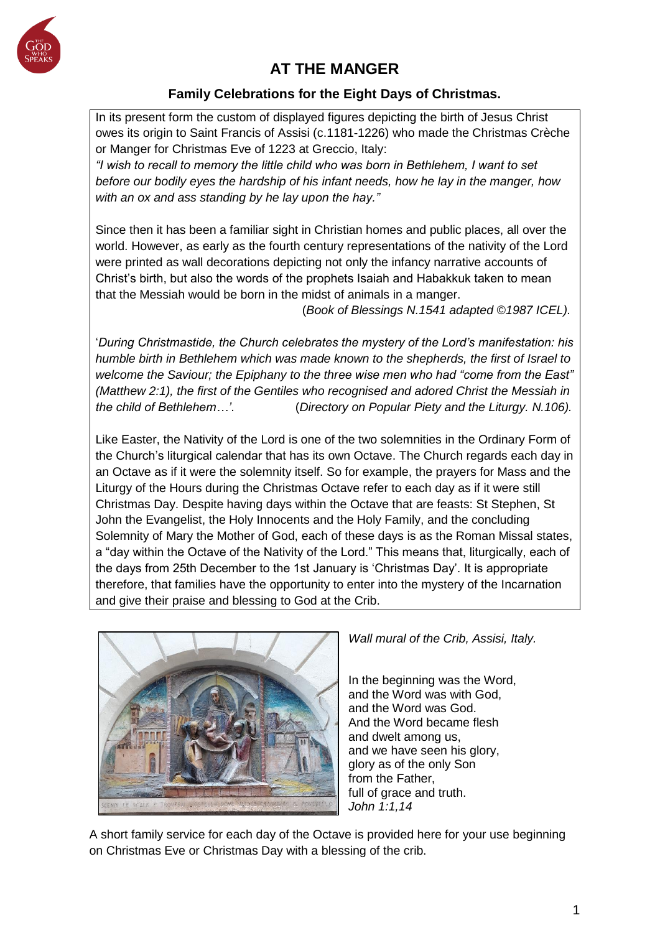

# **AT THE MANGER**

# **Family Celebrations for the Eight Days of Christmas.**

In its present form the custom of displayed figures depicting the birth of Jesus Christ owes its origin to Saint Francis of Assisi (c.1181-1226) who made the Christmas Crèche or Manger for Christmas Eve of 1223 at Greccio, Italy:

*"I wish to recall to memory the little child who was born in Bethlehem, I want to set before our bodily eyes the hardship of his infant needs, how he lay in the manger, how with an ox and ass standing by he lay upon the hay."* 

Since then it has been a familiar sight in Christian homes and public places, all over the world. However, as early as the fourth century representations of the nativity of the Lord were printed as wall decorations depicting not only the infancy narrative accounts of Christ's birth, but also the words of the prophets Isaiah and Habakkuk taken to mean that the Messiah would be born in the midst of animals in a manger.

(*Book of Blessings N.1541 adapted ©1987 ICEL).*

'*During Christmastide, the Church celebrates the mystery of the Lord's manifestation: his humble birth in Bethlehem which was made known to the shepherds, the first of Israel to welcome the Saviour; the Epiphany to the three wise men who had "come from the East" (Matthew 2:1), the first of the Gentiles who recognised and adored Christ the Messiah in the child of Bethlehem…'*. (*Directory on Popular Piety and the Liturgy. N.106).*

Like Easter, the Nativity of the Lord is one of the two solemnities in the Ordinary Form of the Church's liturgical calendar that has its own Octave. The Church regards each day in an Octave as if it were the solemnity itself. So for example, the prayers for Mass and the Liturgy of the Hours during the Christmas Octave refer to each day as if it were still Christmas Day. Despite having days within the Octave that are feasts: St Stephen, St John the Evangelist, the Holy Innocents and the Holy Family, and the concluding Solemnity of Mary the Mother of God, each of these days is as the Roman Missal states, a "day within the Octave of the Nativity of the Lord." This means that, liturgically, each of the days from 25th December to the 1st January is 'Christmas Day'. It is appropriate therefore, that families have the opportunity to enter into the mystery of the Incarnation and give their praise and blessing to God at the Crib.



*Wall mural of the Crib, Assisi, Italy.*

In the beginning was the Word, and the Word was with God, and the Word was God. And the Word became flesh and dwelt among us, and we have seen his glory, glory as of the only Son from the Father, full of grace and truth. *John 1:1,14*

A short family service for each day of the Octave is provided here for your use beginning on Christmas Eve or Christmas Day with a blessing of the crib.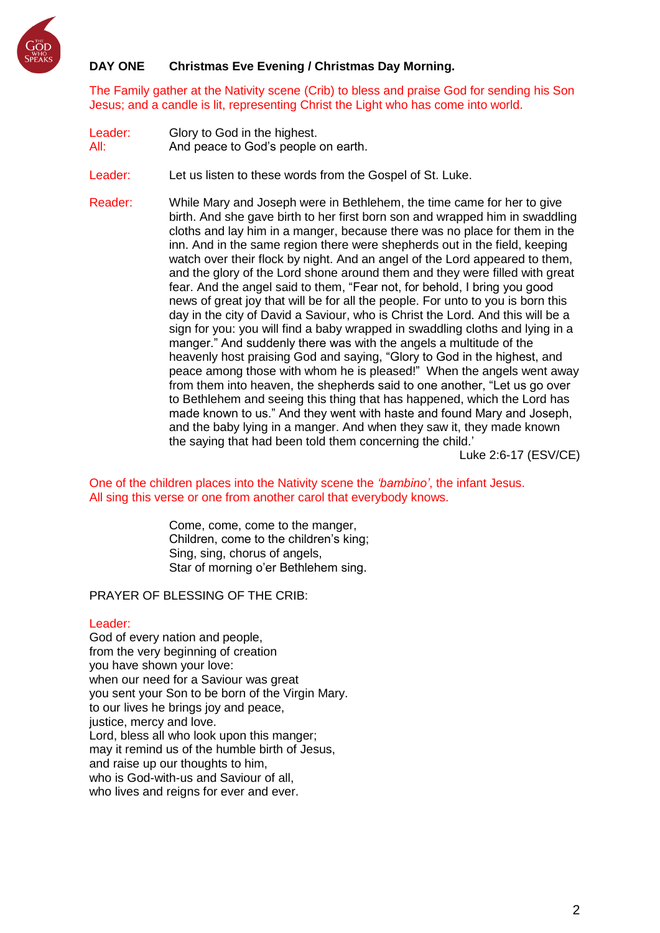

# **DAY ONE Christmas Eve Evening / Christmas Day Morning.**

The Family gather at the Nativity scene (Crib) to bless and praise God for sending his Son Jesus; and a candle is lit, representing Christ the Light who has come into world.

Leader: Glory to God in the highest.

All: And peace to God's people on earth.

Leader: Let us listen to these words from the Gospel of St. Luke.

Reader: While Mary and Joseph were in Bethlehem, the time came for her to give birth. And she gave birth to her first born son and wrapped him in swaddling cloths and lay him in a manger, because there was no place for them in the inn. And in the same region there were shepherds out in the field, keeping watch over their flock by night. And an angel of the Lord appeared to them, and the glory of the Lord shone around them and they were filled with great fear. And the angel said to them, "Fear not, for behold, I bring you good news of great joy that will be for all the people. For unto to you is born this day in the city of David a Saviour, who is Christ the Lord. And this will be a sign for you: you will find a baby wrapped in swaddling cloths and lying in a manger." And suddenly there was with the angels a multitude of the heavenly host praising God and saying, "Glory to God in the highest, and peace among those with whom he is pleased!" When the angels went away from them into heaven, the shepherds said to one another, "Let us go over to Bethlehem and seeing this thing that has happened, which the Lord has made known to us." And they went with haste and found Mary and Joseph, and the baby lying in a manger. And when they saw it, they made known the saying that had been told them concerning the child.'

Luke 2:6-17 (ESV/CE)

One of the children places into the Nativity scene the *'bambino'*, the infant Jesus. All sing this verse or one from another carol that everybody knows.

> Come, come, come to the manger, Children, come to the children's king; Sing, sing, chorus of angels, Star of morning o'er Bethlehem sing.

PRAYER OF BLESSING OF THE CRIB:

#### Leader:

God of every nation and people, from the very beginning of creation you have shown your love: when our need for a Saviour was great you sent your Son to be born of the Virgin Mary. to our lives he brings joy and peace, justice, mercy and love. Lord, bless all who look upon this manger; may it remind us of the humble birth of Jesus, and raise up our thoughts to him, who is God-with-us and Saviour of all, who lives and reigns for ever and ever.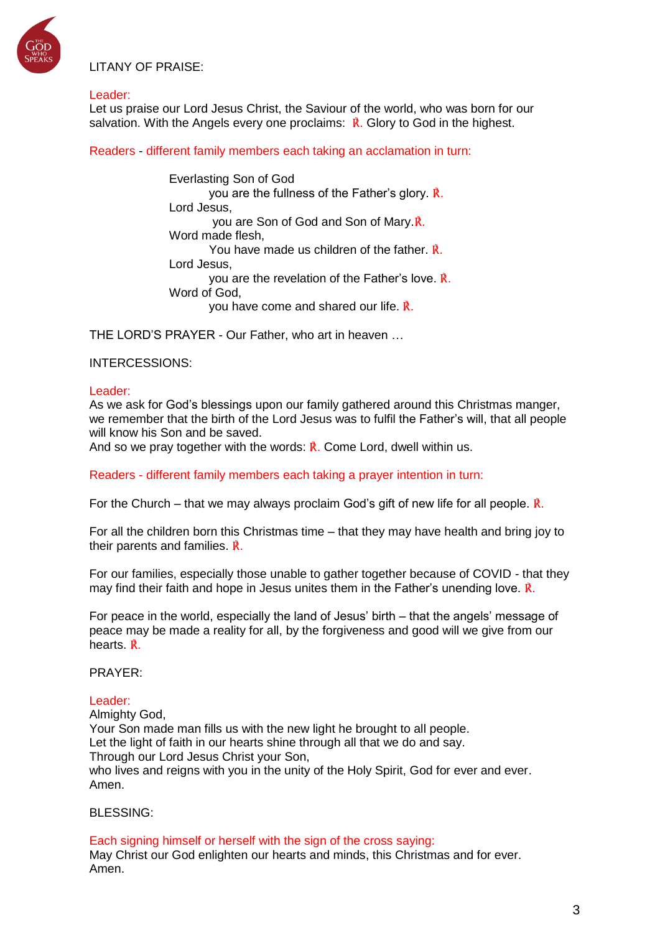

LITANY OF PRAISE:

#### Leader:

Let us praise our Lord Jesus Christ, the Saviour of the world, who was born for our salvation. With the Angels every one proclaims:  $\vec{R}$ . Glory to God in the highest.

Readers - different family members each taking an acclamation in turn:

Everlasting Son of God you are the fullness of the Father's glory. ℟. Lord Jesus, you are Son of God and Son of Mary.℟. Word made flesh, You have made us children of the father. ℟. Lord Jesus, you are the revelation of the Father's love. ℟. Word of God, you have come and shared our life. ℟.

THE LORD'S PRAYER - Our Father, who art in heaven …

### INTERCESSIONS:

### Leader:

As we ask for God's blessings upon our family gathered around this Christmas manger, we remember that the birth of the Lord Jesus was to fulfil the Father's will, that all people will know his Son and be saved.

And so we pray together with the words:  $\vec{R}$ . Come Lord, dwell within us.

Readers - different family members each taking a prayer intention in turn:

For the Church – that we may always proclaim God's gift of new life for all people.  $\hat{\mathbf{R}}$ .

For all the children born this Christmas time – that they may have health and bring joy to their parents and families. ℟.

For our families, especially those unable to gather together because of COVID - that they may find their faith and hope in Jesus unites them in the Father's unending love.  $\hat{\mathbb{R}}$ .

For peace in the world, especially the land of Jesus' birth – that the angels' message of peace may be made a reality for all, by the forgiveness and good will we give from our hearts. ℟.

PRAYER:

### Leader:

Almighty God, Your Son made man fills us with the new light he brought to all people. Let the light of faith in our hearts shine through all that we do and say. Through our Lord Jesus Christ your Son, who lives and reigns with you in the unity of the Holy Spirit, God for ever and ever. Amen.

#### BLESSING:

Each signing himself or herself with the sign of the cross saying: May Christ our God enlighten our hearts and minds, this Christmas and for ever. Amen.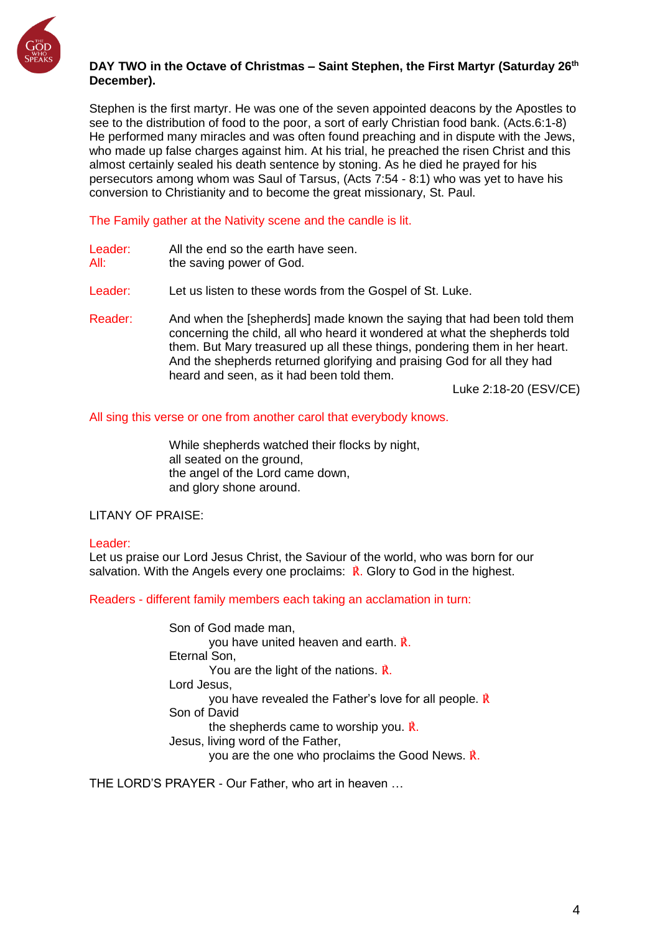

### **DAY TWO in the Octave of Christmas – Saint Stephen, the First Martyr (Saturday 26th December).**

Stephen is the first martyr. He was one of the seven appointed deacons by the Apostles to see to the distribution of food to the poor, a sort of early Christian food bank. (Acts.6:1-8) He performed many miracles and was often found preaching and in dispute with the Jews, who made up false charges against him. At his trial, he preached the risen Christ and this almost certainly sealed his death sentence by stoning. As he died he prayed for his persecutors among whom was Saul of Tarsus, (Acts 7:54 - 8:1) who was yet to have his conversion to Christianity and to become the great missionary, St. Paul.

The Family gather at the Nativity scene and the candle is lit.

- Leader: All the end so the earth have seen. All: the saving power of God.
- Leader: Let us listen to these words from the Gospel of St. Luke.
- Reader: And when the [shepherds] made known the saying that had been told them concerning the child, all who heard it wondered at what the shepherds told them. But Mary treasured up all these things, pondering them in her heart. And the shepherds returned glorifying and praising God for all they had heard and seen, as it had been told them.

Luke 2:18-20 (ESV/CE)

All sing this verse or one from another carol that everybody knows.

While shepherds watched their flocks by night, all seated on the ground, the angel of the Lord came down, and glory shone around.

### LITANY OF PRAISE:

### Leader:

Let us praise our Lord Jesus Christ, the Saviour of the world, who was born for our salvation. With the Angels every one proclaims:  $\mathbf{\vec{R}}$ . Glory to God in the highest.

Readers - different family members each taking an acclamation in turn:

Son of God made man, you have united heaven and earth. ℟. Eternal Son, You are the light of the nations. ℟. Lord Jesus, you have revealed the Father's love for all people. ℟ Son of David the shepherds came to worship you. ℟. Jesus, living word of the Father, you are the one who proclaims the Good News. ℟.

THE LORD'S PRAYER - Our Father, who art in heaven …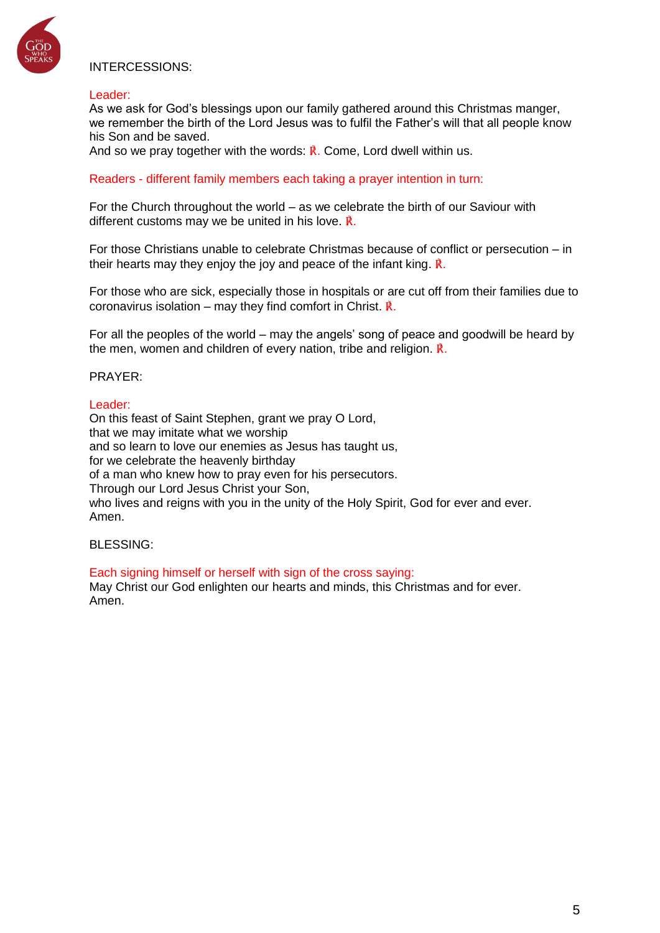

# INTERCESSIONS:

#### Leader:

As we ask for God's blessings upon our family gathered around this Christmas manger, we remember the birth of the Lord Jesus was to fulfil the Father's will that all people know his Son and be saved.

And so we pray together with the words:  $\vec{R}$ . Come, Lord dwell within us.

Readers - different family members each taking a prayer intention in turn:

For the Church throughout the world – as we celebrate the birth of our Saviour with different customs may we be united in his love. ℟.

For those Christians unable to celebrate Christmas because of conflict or persecution – in their hearts may they enjoy the joy and peace of the infant king. ℟.

For those who are sick, especially those in hospitals or are cut off from their families due to coronavirus isolation – may they find comfort in Christ.  $\mathbf{\vec{R}}$ .

For all the peoples of the world – may the angels' song of peace and goodwill be heard by the men, women and children of every nation, tribe and religion. ℟.

#### PRAYER:

#### Leader:

On this feast of Saint Stephen, grant we pray O Lord, that we may imitate what we worship and so learn to love our enemies as Jesus has taught us, for we celebrate the heavenly birthday of a man who knew how to pray even for his persecutors. Through our Lord Jesus Christ your Son, who lives and reigns with you in the unity of the Holy Spirit, God for ever and ever. Amen.

BLESSING:

#### Each signing himself or herself with sign of the cross saying: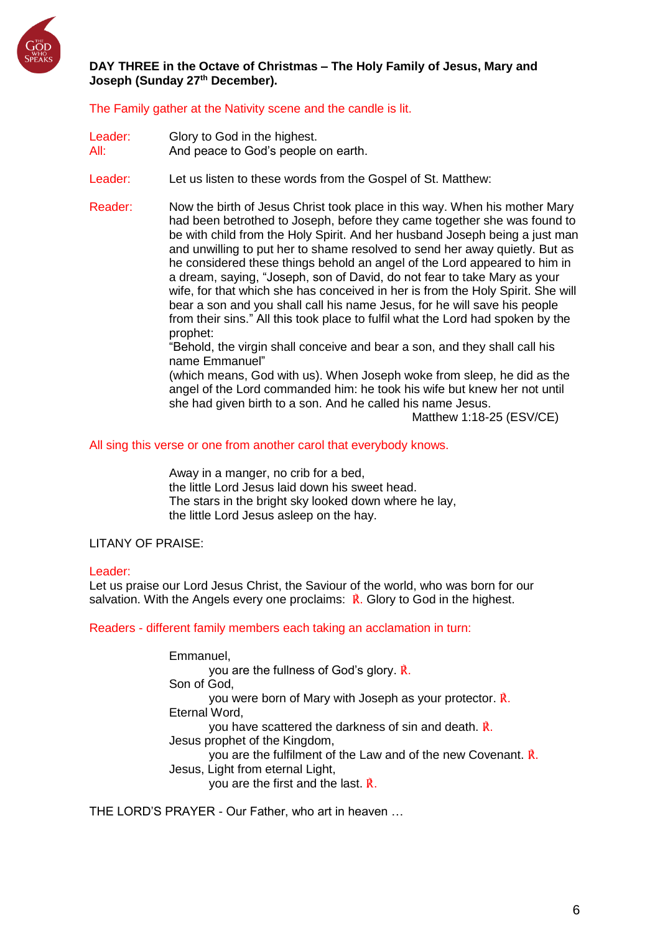

### **DAY THREE in the Octave of Christmas – The Holy Family of Jesus, Mary and Joseph (Sunday 27th December).**

The Family gather at the Nativity scene and the candle is lit.

- Leader: Glory to God in the highest. All: And peace to God's people on earth.
- Leader: Let us listen to these words from the Gospel of St. Matthew:
- Reader: Now the birth of Jesus Christ took place in this way. When his mother Mary had been betrothed to Joseph, before they came together she was found to be with child from the Holy Spirit. And her husband Joseph being a just man and unwilling to put her to shame resolved to send her away quietly. But as he considered these things behold an angel of the Lord appeared to him in a dream, saying, "Joseph, son of David, do not fear to take Mary as your wife, for that which she has conceived in her is from the Holy Spirit. She will bear a son and you shall call his name Jesus, for he will save his people from their sins." All this took place to fulfil what the Lord had spoken by the prophet:

"Behold, the virgin shall conceive and bear a son, and they shall call his name Emmanuel"

(which means, God with us). When Joseph woke from sleep, he did as the angel of the Lord commanded him: he took his wife but knew her not until she had given birth to a son. And he called his name Jesus.

Matthew 1:18-25 (ESV/CE)

All sing this verse or one from another carol that everybody knows.

Away in a manger, no crib for a bed, the little Lord Jesus laid down his sweet head. The stars in the bright sky looked down where he lay, the little Lord Jesus asleep on the hay.

### LITANY OF PRAISE:

#### Leader:

Let us praise our Lord Jesus Christ, the Saviour of the world, who was born for our salvation. With the Angels every one proclaims:  $\mathbf{\vec{R}}$ . Glory to God in the highest.

Readers - different family members each taking an acclamation in turn:

Emmanuel,

you are the fullness of God's glory. ℟. Son of God, you were born of Mary with Joseph as your protector. ℟. Eternal Word, you have scattered the darkness of sin and death. ℟. Jesus prophet of the Kingdom, you are the fulfilment of the Law and of the new Covenant. ℟. Jesus, Light from eternal Light,

you are the first and the last. ℟.

THE LORD'S PRAYER - Our Father, who art in heaven …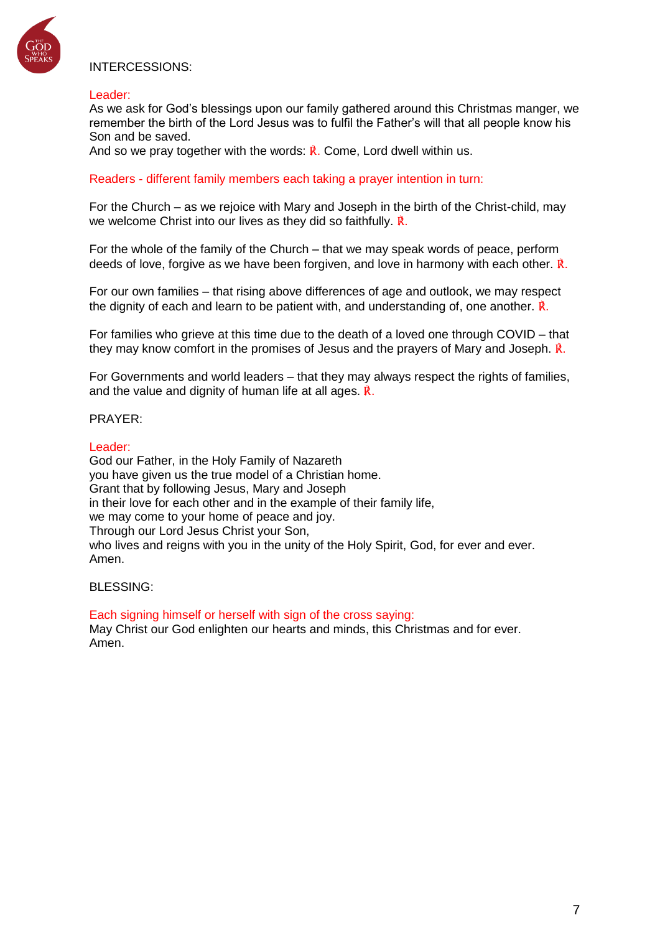

# INTERCESSIONS:

#### Leader:

As we ask for God's blessings upon our family gathered around this Christmas manger, we remember the birth of the Lord Jesus was to fulfil the Father's will that all people know his Son and be saved.

And so we pray together with the words:  $\vec{R}$ . Come, Lord dwell within us.

Readers - different family members each taking a prayer intention in turn:

For the Church – as we rejoice with Mary and Joseph in the birth of the Christ-child, may we welcome Christ into our lives as they did so faithfully.  $\dot{\mathbb{R}}$ .

For the whole of the family of the Church – that we may speak words of peace, perform deeds of love, forgive as we have been forgiven, and love in harmony with each other. ℟.

For our own families – that rising above differences of age and outlook, we may respect the dignity of each and learn to be patient with, and understanding of, one another.  $\hat{\mathbf{R}}$ .

For families who grieve at this time due to the death of a loved one through COVID – that they may know comfort in the promises of Jesus and the prayers of Mary and Joseph. ℟.

For Governments and world leaders – that they may always respect the rights of families, and the value and dignity of human life at all ages. ℟.

### PRAYER:

#### Leader:

God our Father, in the Holy Family of Nazareth you have given us the true model of a Christian home. Grant that by following Jesus, Mary and Joseph in their love for each other and in the example of their family life, we may come to your home of peace and joy. Through our Lord Jesus Christ your Son, who lives and reigns with you in the unity of the Holy Spirit, God, for ever and ever. Amen.

#### BLESSING:

Each signing himself or herself with sign of the cross saying: May Christ our God enlighten our hearts and minds, this Christmas and for ever. Amen.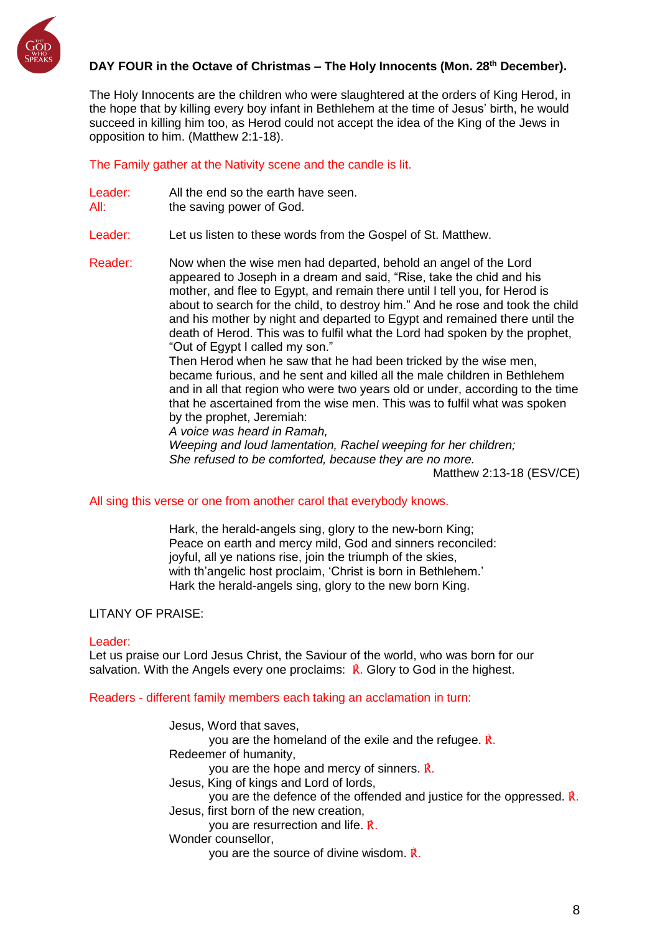

# **DAY FOUR in the Octave of Christmas – The Holy Innocents (Mon. 28 th December).**

The Holy Innocents are the children who were slaughtered at the orders of King Herod, in the hope that by killing every boy infant in Bethlehem at the time of Jesus' birth, he would succeed in killing him too, as Herod could not accept the idea of the King of the Jews in opposition to him. (Matthew 2:1-18).

The Family gather at the Nativity scene and the candle is lit.

- Leader: All the end so the earth have seen.
- All: the saving power of God.
- Leader: Let us listen to these words from the Gospel of St. Matthew.

Reader: Now when the wise men had departed, behold an angel of the Lord appeared to Joseph in a dream and said, "Rise, take the chid and his mother, and flee to Egypt, and remain there until I tell you, for Herod is about to search for the child, to destroy him." And he rose and took the child and his mother by night and departed to Egypt and remained there until the death of Herod. This was to fulfil what the Lord had spoken by the prophet, "Out of Egypt I called my son."

Then Herod when he saw that he had been tricked by the wise men, became furious, and he sent and killed all the male children in Bethlehem and in all that region who were two years old or under, according to the time that he ascertained from the wise men. This was to fulfil what was spoken by the prophet, Jeremiah:

*A voice was heard in Ramah,*

*Weeping and loud lamentation, Rachel weeping for her children; She refused to be comforted, because they are no more.*

Matthew 2:13-18 (ESV/CE)

### All sing this verse or one from another carol that everybody knows.

Hark, the herald-angels sing, glory to the new-born King; Peace on earth and mercy mild, God and sinners reconciled: joyful, all ye nations rise, join the triumph of the skies, with th'angelic host proclaim, 'Christ is born in Bethlehem.' Hark the herald-angels sing, glory to the new born King.

# LITANY OF PRAISE:

#### Leader:

Let us praise our Lord Jesus Christ, the Saviour of the world, who was born for our salvation. With the Angels every one proclaims:  $\mathbb{R}$ . Glory to God in the highest.

#### Readers - different family members each taking an acclamation in turn:

Jesus, Word that saves, you are the homeland of the exile and the refugee. ℟. Redeemer of humanity, you are the hope and mercy of sinners. ℟. Jesus, King of kings and Lord of lords, you are the defence of the offended and justice for the oppressed. ℟. Jesus, first born of the new creation, you are resurrection and life. ℟. Wonder counsellor, you are the source of divine wisdom. ℟.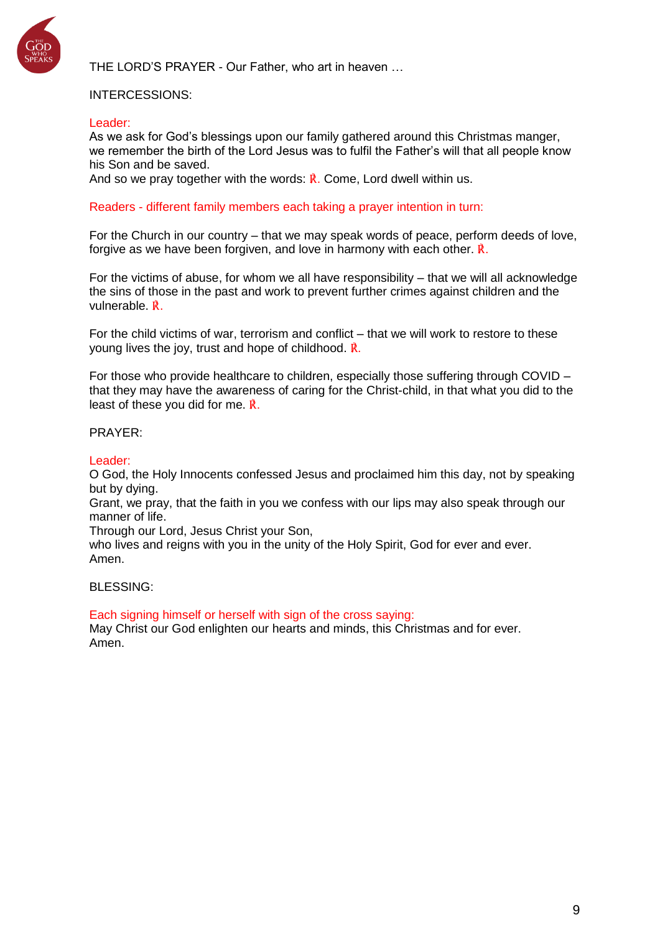

THE LORD'S PRAYER - Our Father, who art in heaven …

### INTERCESSIONS:

#### Leader:

As we ask for God's blessings upon our family gathered around this Christmas manger, we remember the birth of the Lord Jesus was to fulfil the Father's will that all people know his Son and be saved.

And so we pray together with the words:  $\vec{R}$ . Come, Lord dwell within us.

Readers - different family members each taking a prayer intention in turn:

For the Church in our country – that we may speak words of peace, perform deeds of love, forgive as we have been forgiven, and love in harmony with each other. **R**.

For the victims of abuse, for whom we all have responsibility – that we will all acknowledge the sins of those in the past and work to prevent further crimes against children and the vulnerable. ℟.

For the child victims of war, terrorism and conflict – that we will work to restore to these young lives the joy, trust and hope of childhood. ℟.

For those who provide healthcare to children, especially those suffering through COVID – that they may have the awareness of caring for the Christ-child, in that what you did to the least of these you did for me. ℟.

### PRAYER:

Leader:

O God, the Holy Innocents confessed Jesus and proclaimed him this day, not by speaking but by dying.

Grant, we pray, that the faith in you we confess with our lips may also speak through our manner of life.

Through our Lord, Jesus Christ your Son,

who lives and reigns with you in the unity of the Holy Spirit, God for ever and ever. Amen.

BLESSING:

Each signing himself or herself with sign of the cross saying: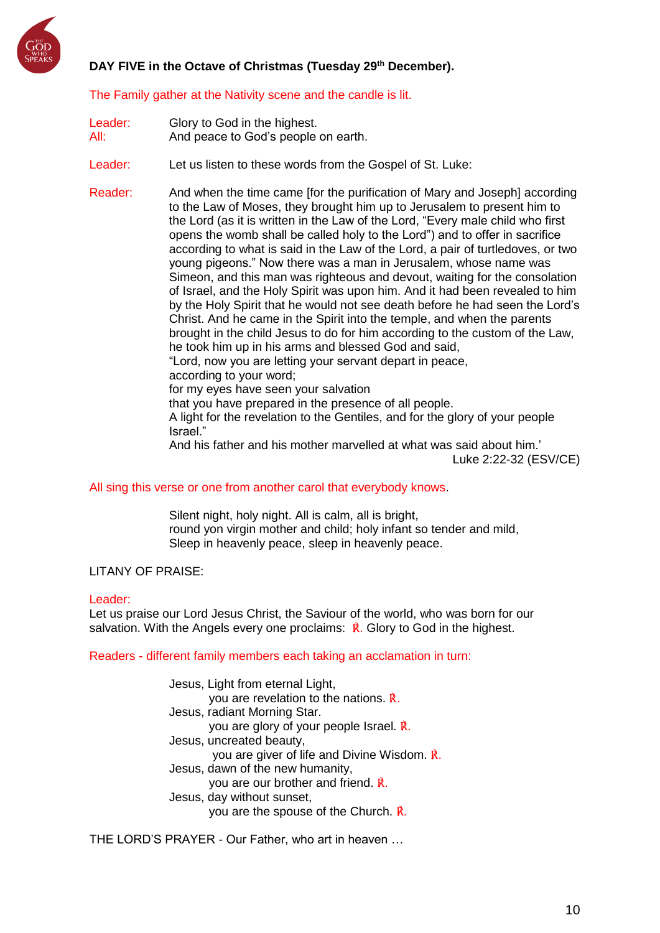

# **DAY FIVE in the Octave of Christmas (Tuesday 29th December).**

The Family gather at the Nativity scene and the candle is lit.

| Leader: | Glory to God in the highest.        |
|---------|-------------------------------------|
| All:    | And peace to God's people on earth. |

Leader: Let us listen to these words from the Gospel of St. Luke:

Reader: And when the time came [for the purification of Mary and Joseph] according to the Law of Moses, they brought him up to Jerusalem to present him to the Lord (as it is written in the Law of the Lord, "Every male child who first opens the womb shall be called holy to the Lord") and to offer in sacrifice according to what is said in the Law of the Lord, a pair of turtledoves, or two young pigeons." Now there was a man in Jerusalem, whose name was Simeon, and this man was righteous and devout, waiting for the consolation of Israel, and the Holy Spirit was upon him. And it had been revealed to him by the Holy Spirit that he would not see death before he had seen the Lord's Christ. And he came in the Spirit into the temple, and when the parents brought in the child Jesus to do for him according to the custom of the Law, he took him up in his arms and blessed God and said, "Lord, now you are letting your servant depart in peace, according to your word; for my eyes have seen your salvation that you have prepared in the presence of all people.

A light for the revelation to the Gentiles, and for the glory of your people Israel."

And his father and his mother marvelled at what was said about him.'

Luke 2:22-32 (ESV/CE)

All sing this verse or one from another carol that everybody knows.

Silent night, holy night. All is calm, all is bright, round yon virgin mother and child; holy infant so tender and mild, Sleep in heavenly peace, sleep in heavenly peace.

### LITANY OF PRAISE:

#### Leader:

Let us praise our Lord Jesus Christ, the Saviour of the world, who was born for our salvation. With the Angels every one proclaims:  $\mathbf{\vec{R}}$ . Glory to God in the highest.

Readers - different family members each taking an acclamation in turn:

Jesus, Light from eternal Light, you are revelation to the nations. ℟. Jesus, radiant Morning Star. you are glory of your people Israel. ℟. Jesus, uncreated beauty, you are giver of life and Divine Wisdom. ℟. Jesus, dawn of the new humanity, you are our brother and friend. ℟. Jesus, day without sunset, you are the spouse of the Church. ℟.

THE LORD'S PRAYER - Our Father, who art in heaven …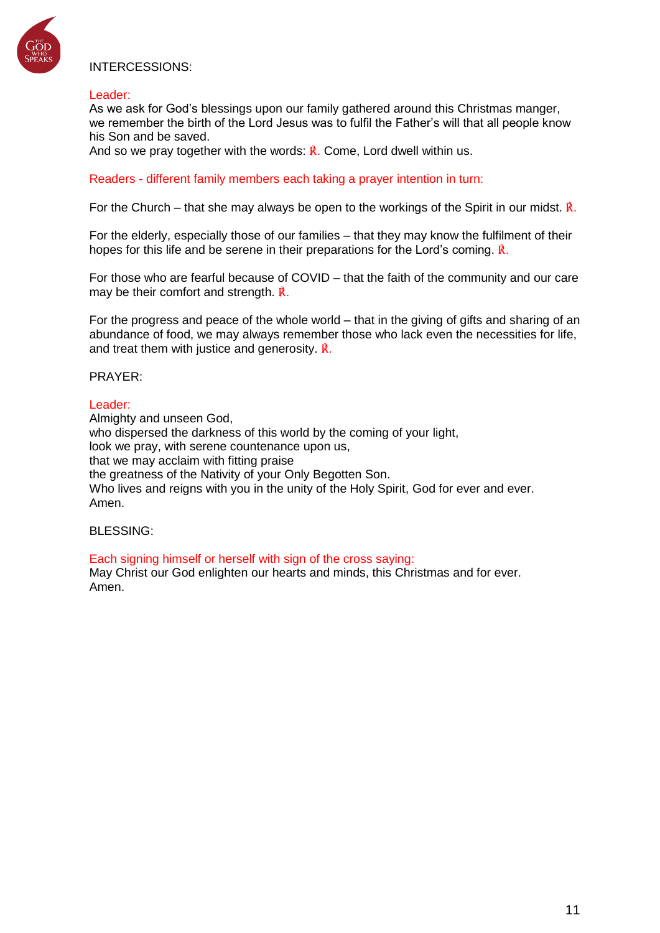

# INTERCESSIONS:

#### Leader:

As we ask for God's blessings upon our family gathered around this Christmas manger, we remember the birth of the Lord Jesus was to fulfil the Father's will that all people know his Son and be saved.

And so we pray together with the words:  $\vec{R}$ . Come, Lord dwell within us.

Readers - different family members each taking a prayer intention in turn:

For the Church – that she may always be open to the workings of the Spirit in our midst.  $\hat{\bf R}$ .

For the elderly, especially those of our families – that they may know the fulfilment of their hopes for this life and be serene in their preparations for the Lord's coming. ℟.

For those who are fearful because of COVID – that the faith of the community and our care may be their comfort and strength. ℟.

For the progress and peace of the whole world – that in the giving of gifts and sharing of an abundance of food, we may always remember those who lack even the necessities for life, and treat them with justice and generosity. ℟.

#### PRAYER:

#### Leader:

Almighty and unseen God, who dispersed the darkness of this world by the coming of your light, look we pray, with serene countenance upon us, that we may acclaim with fitting praise the greatness of the Nativity of your Only Begotten Son. Who lives and reigns with you in the unity of the Holy Spirit, God for ever and ever. Amen.

BLESSING:

Each signing himself or herself with sign of the cross saying: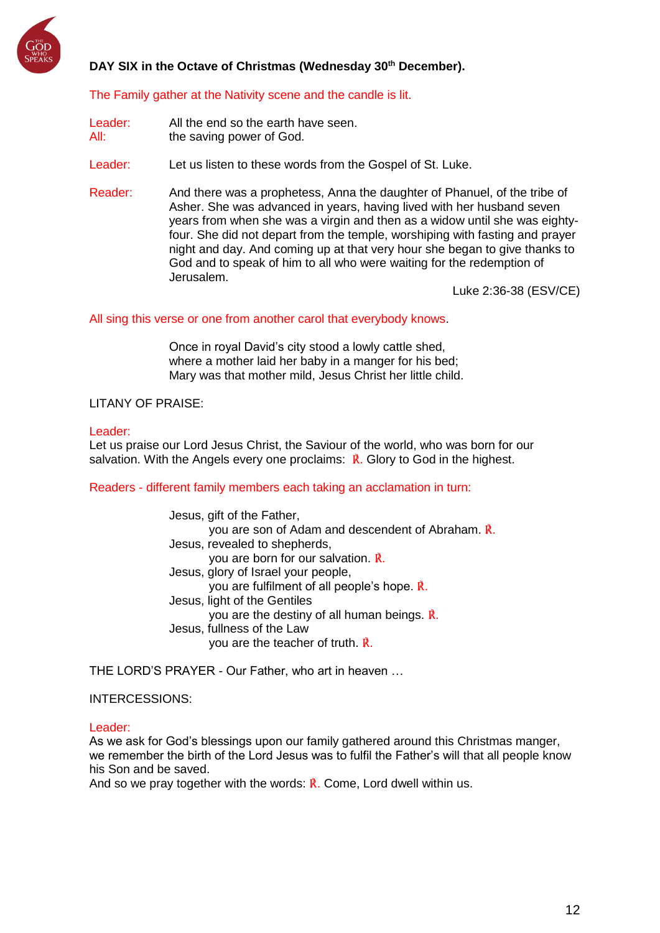

# **DAY SIX in the Octave of Christmas (Wednesday 30th December).**

### The Family gather at the Nativity scene and the candle is lit.

- Leader: All the end so the earth have seen. All: the saving power of God.
- Leader: Let us listen to these words from the Gospel of St. Luke.
- Reader: And there was a prophetess, Anna the daughter of Phanuel, of the tribe of Asher. She was advanced in years, having lived with her husband seven years from when she was a virgin and then as a widow until she was eightyfour. She did not depart from the temple, worshiping with fasting and prayer night and day. And coming up at that very hour she began to give thanks to God and to speak of him to all who were waiting for the redemption of Jerusalem.

Luke 2:36-38 (ESV/CE)

#### All sing this verse or one from another carol that everybody knows.

Once in royal David's city stood a lowly cattle shed, where a mother laid her baby in a manger for his bed; Mary was that mother mild, Jesus Christ her little child.

### LITANY OF PRAISE:

### Leader:

Let us praise our Lord Jesus Christ, the Saviour of the world, who was born for our salvation. With the Angels every one proclaims:  $\vec{R}$ . Glory to God in the highest.

#### Readers - different family members each taking an acclamation in turn:

Jesus, gift of the Father, you are son of Adam and descendent of Abraham. ℟. Jesus, revealed to shepherds, you are born for our salvation. ℟. Jesus, glory of Israel your people, you are fulfilment of all people's hope. ℟. Jesus, light of the Gentiles you are the destiny of all human beings. ℟. Jesus, fullness of the Law you are the teacher of truth. ℟.

THE LORD'S PRAYER - Our Father, who art in heaven …

### INTERCESSIONS:

#### Leader:

As we ask for God's blessings upon our family gathered around this Christmas manger, we remember the birth of the Lord Jesus was to fulfil the Father's will that all people know his Son and be saved.

And so we pray together with the words:  $\vec{R}$ , Come, Lord dwell within us.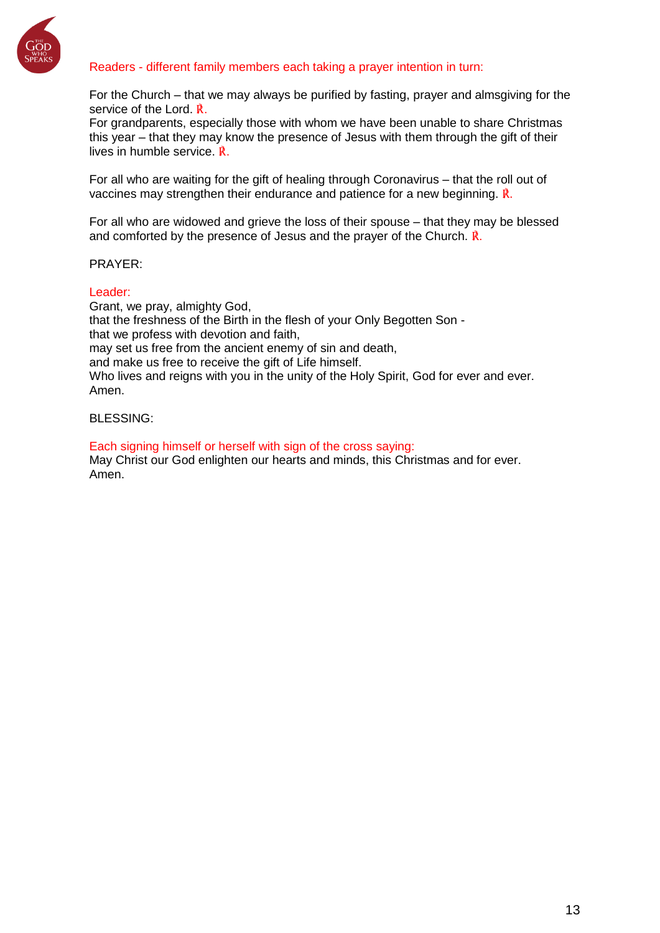

# Readers - different family members each taking a prayer intention in turn:

For the Church – that we may always be purified by fasting, prayer and almsgiving for the service of the Lord. ℟.

For grandparents, especially those with whom we have been unable to share Christmas this year – that they may know the presence of Jesus with them through the gift of their lives in humble service. ℟.

For all who are waiting for the gift of healing through Coronavirus – that the roll out of vaccines may strengthen their endurance and patience for a new beginning. ℟.

For all who are widowed and grieve the loss of their spouse – that they may be blessed and comforted by the presence of Jesus and the prayer of the Church.  $\mathbb{R}$ .

#### PRAYER:

#### Leader:

Grant, we pray, almighty God, that the freshness of the Birth in the flesh of your Only Begotten Son that we profess with devotion and faith, may set us free from the ancient enemy of sin and death, and make us free to receive the gift of Life himself. Who lives and reigns with you in the unity of the Holy Spirit, God for ever and ever. Amen.

### BLESSING:

Each signing himself or herself with sign of the cross saying: May Christ our God enlighten our hearts and minds, this Christmas and for ever. Amen.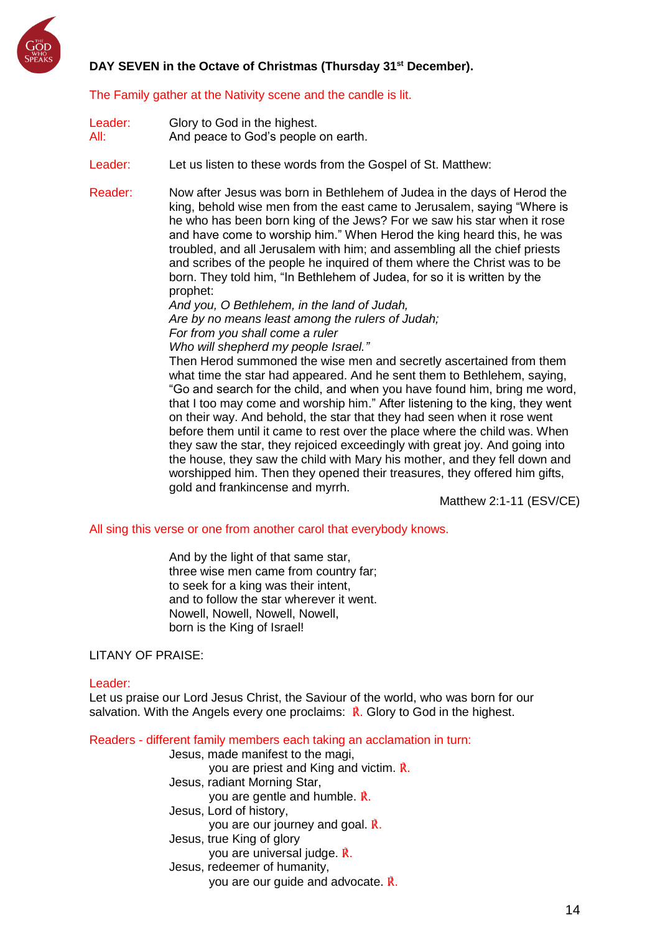

# **DAY SEVEN in the Octave of Christmas (Thursday 31st December).**

### The Family gather at the Nativity scene and the candle is lit.

| Leader:<br>All: | Glory to God in the highest.<br>And peace to God's people on earth.                                                                                                                                                                                                                                                                                                                                                                                                                                                                                                                                                                                                                                                                                                                                                                                                                                                                                                                                                                                                                                                                                                                                                                                                                                                                                                                                                                                                                          |
|-----------------|----------------------------------------------------------------------------------------------------------------------------------------------------------------------------------------------------------------------------------------------------------------------------------------------------------------------------------------------------------------------------------------------------------------------------------------------------------------------------------------------------------------------------------------------------------------------------------------------------------------------------------------------------------------------------------------------------------------------------------------------------------------------------------------------------------------------------------------------------------------------------------------------------------------------------------------------------------------------------------------------------------------------------------------------------------------------------------------------------------------------------------------------------------------------------------------------------------------------------------------------------------------------------------------------------------------------------------------------------------------------------------------------------------------------------------------------------------------------------------------------|
| Leader:         | Let us listen to these words from the Gospel of St. Matthew:                                                                                                                                                                                                                                                                                                                                                                                                                                                                                                                                                                                                                                                                                                                                                                                                                                                                                                                                                                                                                                                                                                                                                                                                                                                                                                                                                                                                                                 |
| Reader:         | Now after Jesus was born in Bethlehem of Judea in the days of Herod the<br>king, behold wise men from the east came to Jerusalem, saying "Where is<br>he who has been born king of the Jews? For we saw his star when it rose<br>and have come to worship him." When Herod the king heard this, he was<br>troubled, and all Jerusalem with him; and assembling all the chief priests<br>and scribes of the people he inquired of them where the Christ was to be<br>born. They told him, "In Bethlehem of Judea, for so it is written by the<br>prophet:<br>And you, O Bethlehem, in the land of Judah,<br>Are by no means least among the rulers of Judah;<br>For from you shall come a ruler<br>Who will shepherd my people Israel."<br>Then Herod summoned the wise men and secretly ascertained from them<br>what time the star had appeared. And he sent them to Bethlehem, saying,<br>"Go and search for the child, and when you have found him, bring me word,<br>that I too may come and worship him." After listening to the king, they went<br>on their way. And behold, the star that they had seen when it rose went<br>before them until it came to rest over the place where the child was. When<br>they saw the star, they rejoiced exceedingly with great joy. And going into<br>the house, they saw the child with Mary his mother, and they fell down and<br>worshipped him. Then they opened their treasures, they offered him gifts,<br>gold and frankincense and myrrh. |

Matthew 2:1-11 (ESV/CE)

All sing this verse or one from another carol that everybody knows.

And by the light of that same star, three wise men came from country far; to seek for a king was their intent, and to follow the star wherever it went. Nowell, Nowell, Nowell, Nowell, born is the King of Israel!

### LITANY OF PRAISE:

#### Leader:

Let us praise our Lord Jesus Christ, the Saviour of the world, who was born for our salvation. With the Angels every one proclaims:  $\mathbf{\vec{R}}$ . Glory to God in the highest.

Readers - different family members each taking an acclamation in turn:

Jesus, made manifest to the magi, you are priest and King and victim. ℟. Jesus, radiant Morning Star, you are gentle and humble. ℟. Jesus, Lord of history, you are our journey and goal. ℟. Jesus, true King of glory you are universal judge. ℟. Jesus, redeemer of humanity, you are our guide and advocate. ℟.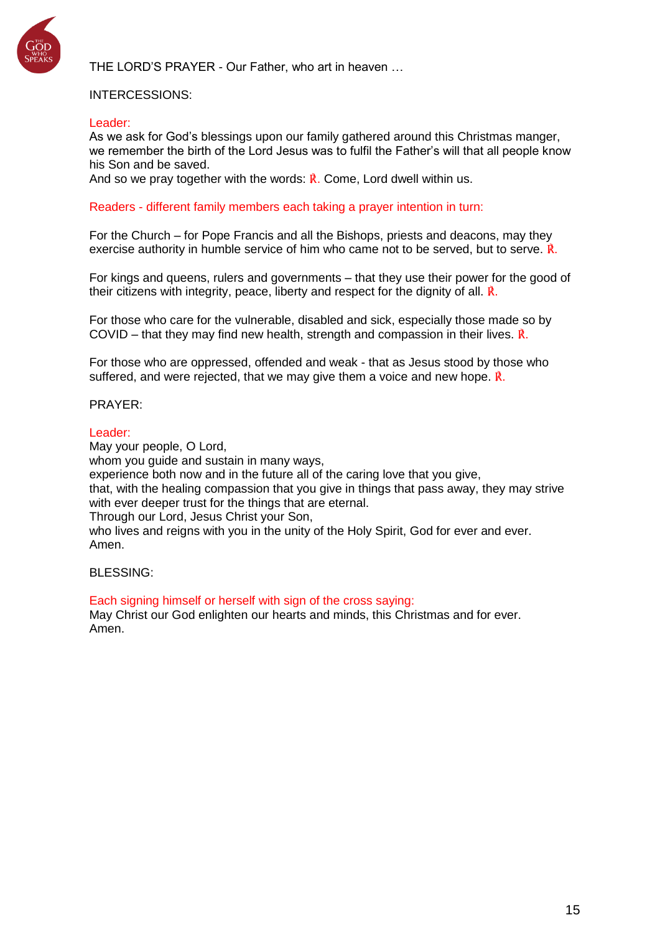

THE LORD'S PRAYER - Our Father, who art in heaven …

### INTERCESSIONS:

#### Leader:

As we ask for God's blessings upon our family gathered around this Christmas manger, we remember the birth of the Lord Jesus was to fulfil the Father's will that all people know his Son and be saved.

And so we pray together with the words:  $\vec{R}$ . Come, Lord dwell within us.

#### Readers - different family members each taking a prayer intention in turn:

For the Church – for Pope Francis and all the Bishops, priests and deacons, may they exercise authority in humble service of him who came not to be served, but to serve. ℟.

For kings and queens, rulers and governments – that they use their power for the good of their citizens with integrity, peace, liberty and respect for the dignity of all. **R**.

For those who care for the vulnerable, disabled and sick, especially those made so by COVID – that they may find new health, strength and compassion in their lives.  $\mathbb{R}$ .

For those who are oppressed, offended and weak - that as Jesus stood by those who suffered, and were rejected, that we may give them a voice and new hope. ℟.

#### PRAYER:

#### Leader:

May your people, O Lord, whom you quide and sustain in many ways. experience both now and in the future all of the caring love that you give, that, with the healing compassion that you give in things that pass away, they may strive with ever deeper trust for the things that are eternal. Through our Lord, Jesus Christ your Son, who lives and reigns with you in the unity of the Holy Spirit, God for ever and ever. Amen.

BLESSING:

Each signing himself or herself with sign of the cross saying: May Christ our God enlighten our hearts and minds, this Christmas and for ever. Amen.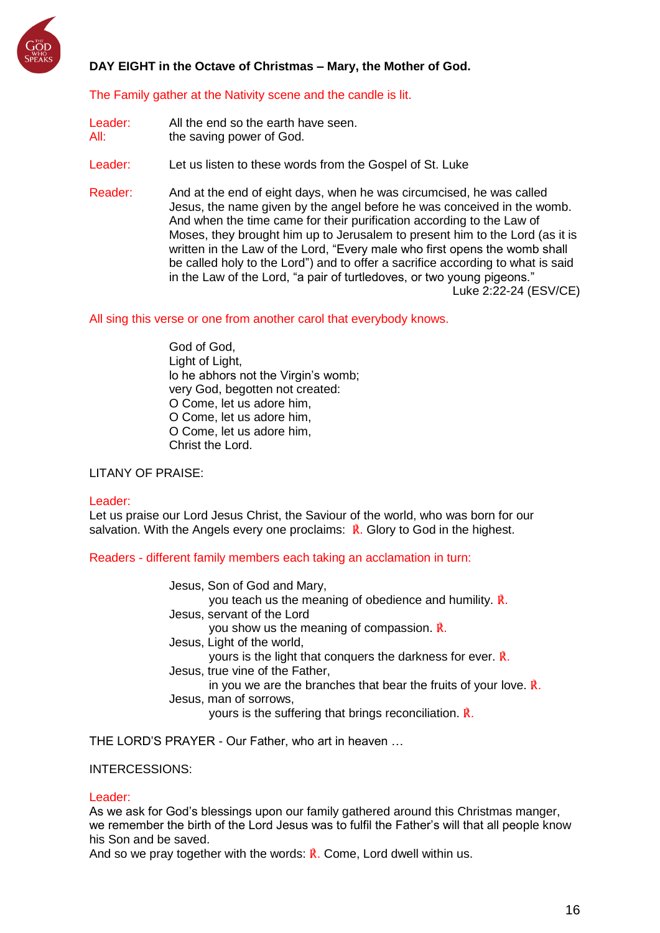

# **DAY EIGHT in the Octave of Christmas – Mary, the Mother of God.**

### The Family gather at the Nativity scene and the candle is lit.

- Leader: All the end so the earth have seen. All: the saving power of God.
- Leader: Let us listen to these words from the Gospel of St. Luke
- Reader: And at the end of eight days, when he was circumcised, he was called Jesus, the name given by the angel before he was conceived in the womb. And when the time came for their purification according to the Law of Moses, they brought him up to Jerusalem to present him to the Lord (as it is written in the Law of the Lord, "Every male who first opens the womb shall be called holy to the Lord") and to offer a sacrifice according to what is said in the Law of the Lord, "a pair of turtledoves, or two young pigeons." Luke 2:22-24 (ESV/CE)

All sing this verse or one from another carol that everybody knows.

God of God, Light of Light, lo he abhors not the Virgin's womb; very God, begotten not created: O Come, let us adore him, O Come, let us adore him, O Come, let us adore him, Christ the Lord.

LITANY OF PRAISE:

#### Leader:

Let us praise our Lord Jesus Christ, the Saviour of the world, who was born for our salvation. With the Angels every one proclaims:  $\mathbb{R}$ . Glory to God in the highest.

Readers - different family members each taking an acclamation in turn:

Jesus, Son of God and Mary, you teach us the meaning of obedience and humility. ℟. Jesus, servant of the Lord you show us the meaning of compassion. ℟. Jesus, Light of the world, yours is the light that conquers the darkness for ever. ℟. Jesus, true vine of the Father, in you we are the branches that bear the fruits of your love.  $\mathbb{R}$ . Jesus, man of sorrows, yours is the suffering that brings reconciliation. ℟.

THE LORD'S PRAYER - Our Father, who art in heaven …

# INTERCESSIONS:

#### Leader:

As we ask for God's blessings upon our family gathered around this Christmas manger, we remember the birth of the Lord Jesus was to fulfil the Father's will that all people know his Son and be saved.

And so we pray together with the words:  $\vec{R}$ . Come, Lord dwell within us.